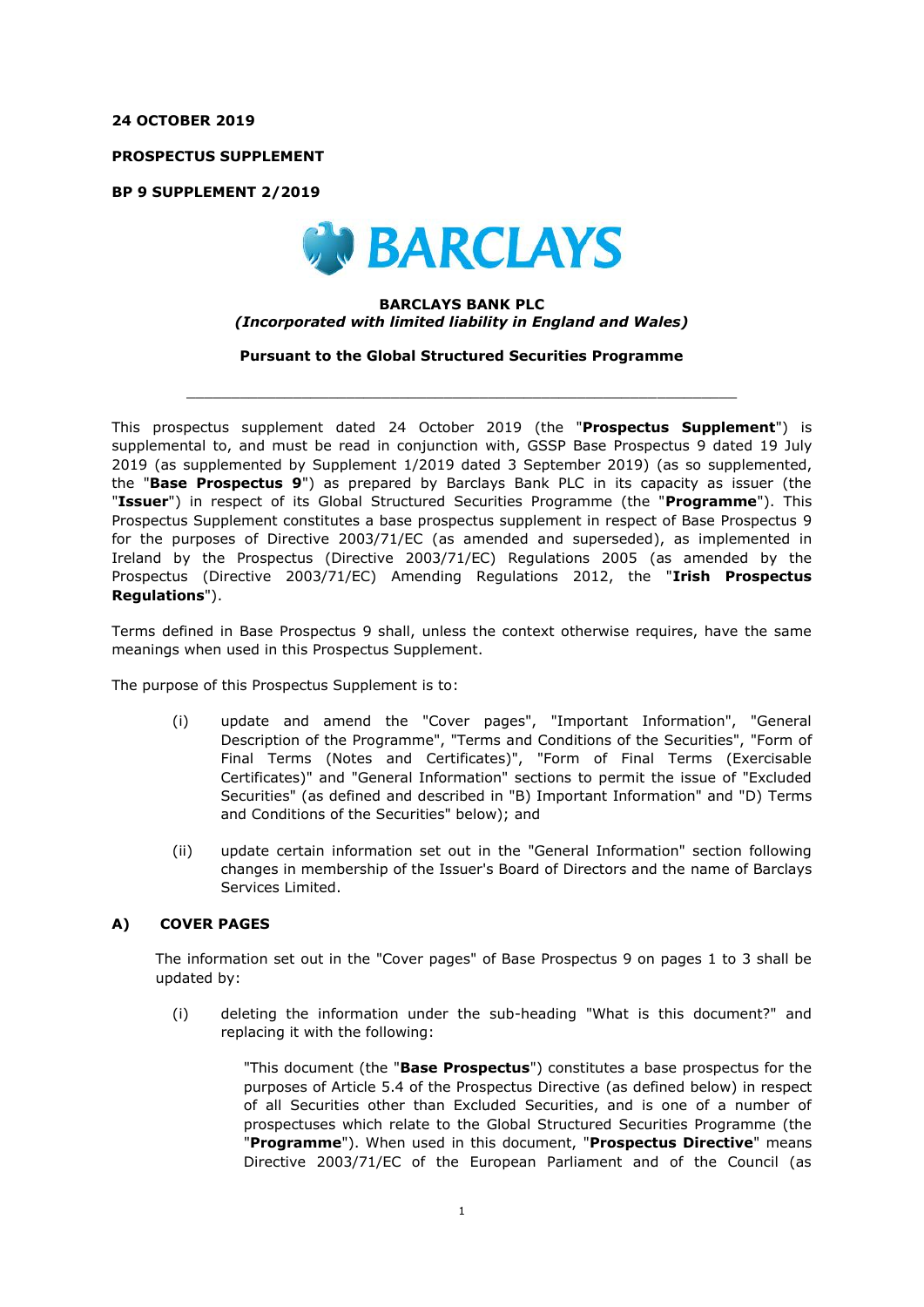## **24 OCTOBER 2019**

**PROSPECTUS SUPPLEMENT**

**BP 9 SUPPLEMENT 2/2019**



## **BARCLAYS BANK PLC** *(Incorporated with limited liability in England and Wales)*

**Pursuant to the Global Structured Securities Programme**

 $\_$  , and the set of the set of the set of the set of the set of the set of the set of the set of the set of the set of the set of the set of the set of the set of the set of the set of the set of the set of the set of th

This prospectus supplement dated 24 October 2019 (the "**Prospectus Supplement**") is supplemental to, and must be read in conjunction with, GSSP Base Prospectus 9 dated 19 July 2019 (as supplemented by Supplement 1/2019 dated 3 September 2019) (as so supplemented, the "**Base Prospectus 9**") as prepared by Barclays Bank PLC in its capacity as issuer (the "**Issuer**") in respect of its Global Structured Securities Programme (the "**Programme**"). This Prospectus Supplement constitutes a base prospectus supplement in respect of Base Prospectus 9 for the purposes of Directive 2003/71/EC (as amended and superseded), as implemented in Ireland by the Prospectus (Directive 2003/71/EC) Regulations 2005 (as amended by the Prospectus (Directive 2003/71/EC) Amending Regulations 2012, the "**Irish Prospectus Regulations**").

Terms defined in Base Prospectus 9 shall, unless the context otherwise requires, have the same meanings when used in this Prospectus Supplement.

The purpose of this Prospectus Supplement is to:

- (i) update and amend the "Cover pages", "Important Information", "General Description of the Programme", "Terms and Conditions of the Securities", "Form of Final Terms (Notes and Certificates)", "Form of Final Terms (Exercisable Certificates)" and "General Information" sections to permit the issue of "Excluded Securities" (as defined and described in "B) Important Information" and "D) Terms and Conditions of the Securities" below); and
- (ii) update certain information set out in the "General Information" section following changes in membership of the Issuer's Board of Directors and the name of Barclays Services Limited.

# **A) COVER PAGES**

The information set out in the "Cover pages" of Base Prospectus 9 on pages 1 to 3 shall be updated by:

(i) deleting the information under the sub-heading "What is this document?" and replacing it with the following:

> "This document (the "**Base Prospectus**") constitutes a base prospectus for the purposes of Article 5.4 of the Prospectus Directive (as defined below) in respect of all Securities other than Excluded Securities, and is one of a number of prospectuses which relate to the Global Structured Securities Programme (the "**Programme**"). When used in this document, "**Prospectus Directive**" means Directive 2003/71/EC of the European Parliament and of the Council (as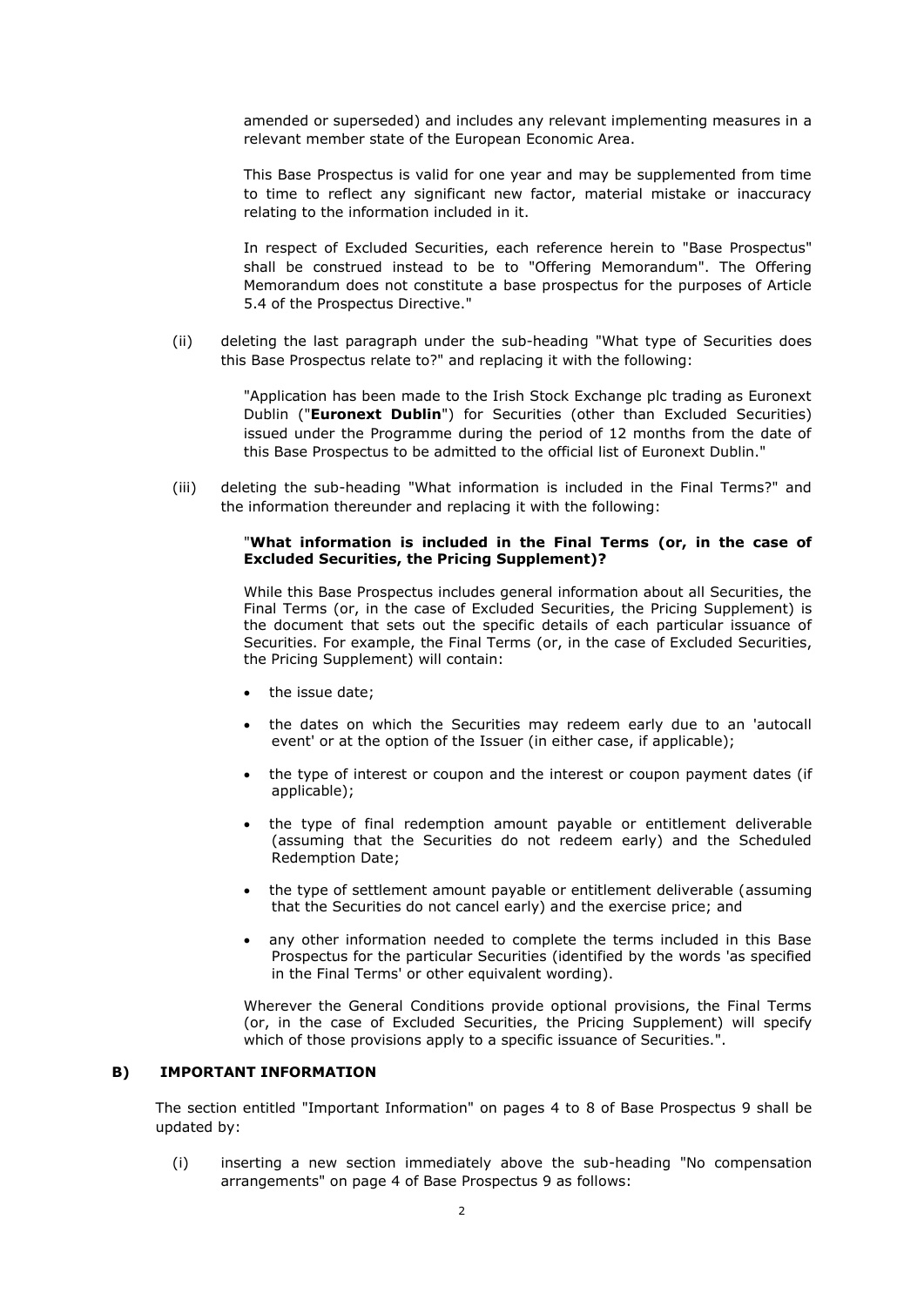amended or superseded) and includes any relevant implementing measures in a relevant member state of the European Economic Area.

This Base Prospectus is valid for one year and may be supplemented from time to time to reflect any significant new factor, material mistake or inaccuracy relating to the information included in it.

In respect of Excluded Securities, each reference herein to "Base Prospectus" shall be construed instead to be to "Offering Memorandum". The Offering Memorandum does not constitute a base prospectus for the purposes of Article 5.4 of the Prospectus Directive."

(ii) deleting the last paragraph under the sub-heading "What type of Securities does this Base Prospectus relate to?" and replacing it with the following:

> "Application has been made to the Irish Stock Exchange plc trading as Euronext Dublin ("**Euronext Dublin**") for Securities (other than Excluded Securities) issued under the Programme during the period of 12 months from the date of this Base Prospectus to be admitted to the official list of Euronext Dublin."

(iii) deleting the sub-heading "What information is included in the Final Terms?" and the information thereunder and replacing it with the following:

#### "**What information is included in the Final Terms (or, in the case of Excluded Securities, the Pricing Supplement)?**

While this Base Prospectus includes general information about all Securities, the Final Terms (or, in the case of Excluded Securities, the Pricing Supplement) is the document that sets out the specific details of each particular issuance of Securities. For example, the Final Terms (or, in the case of Excluded Securities, the Pricing Supplement) will contain:

- the issue date;
- the dates on which the Securities may redeem early due to an 'autocall event' or at the option of the Issuer (in either case, if applicable);
- the type of interest or coupon and the interest or coupon payment dates (if applicable);
- the type of final redemption amount payable or entitlement deliverable (assuming that the Securities do not redeem early) and the Scheduled Redemption Date;
- the type of settlement amount payable or entitlement deliverable (assuming that the Securities do not cancel early) and the exercise price; and
- any other information needed to complete the terms included in this Base Prospectus for the particular Securities (identified by the words 'as specified in the Final Terms' or other equivalent wording).

Wherever the General Conditions provide optional provisions, the Final Terms (or, in the case of Excluded Securities, the Pricing Supplement) will specify which of those provisions apply to a specific issuance of Securities.".

#### **B) IMPORTANT INFORMATION**

The section entitled "Important Information" on pages 4 to 8 of Base Prospectus 9 shall be updated by:

(i) inserting a new section immediately above the sub-heading "No compensation arrangements" on page 4 of Base Prospectus 9 as follows: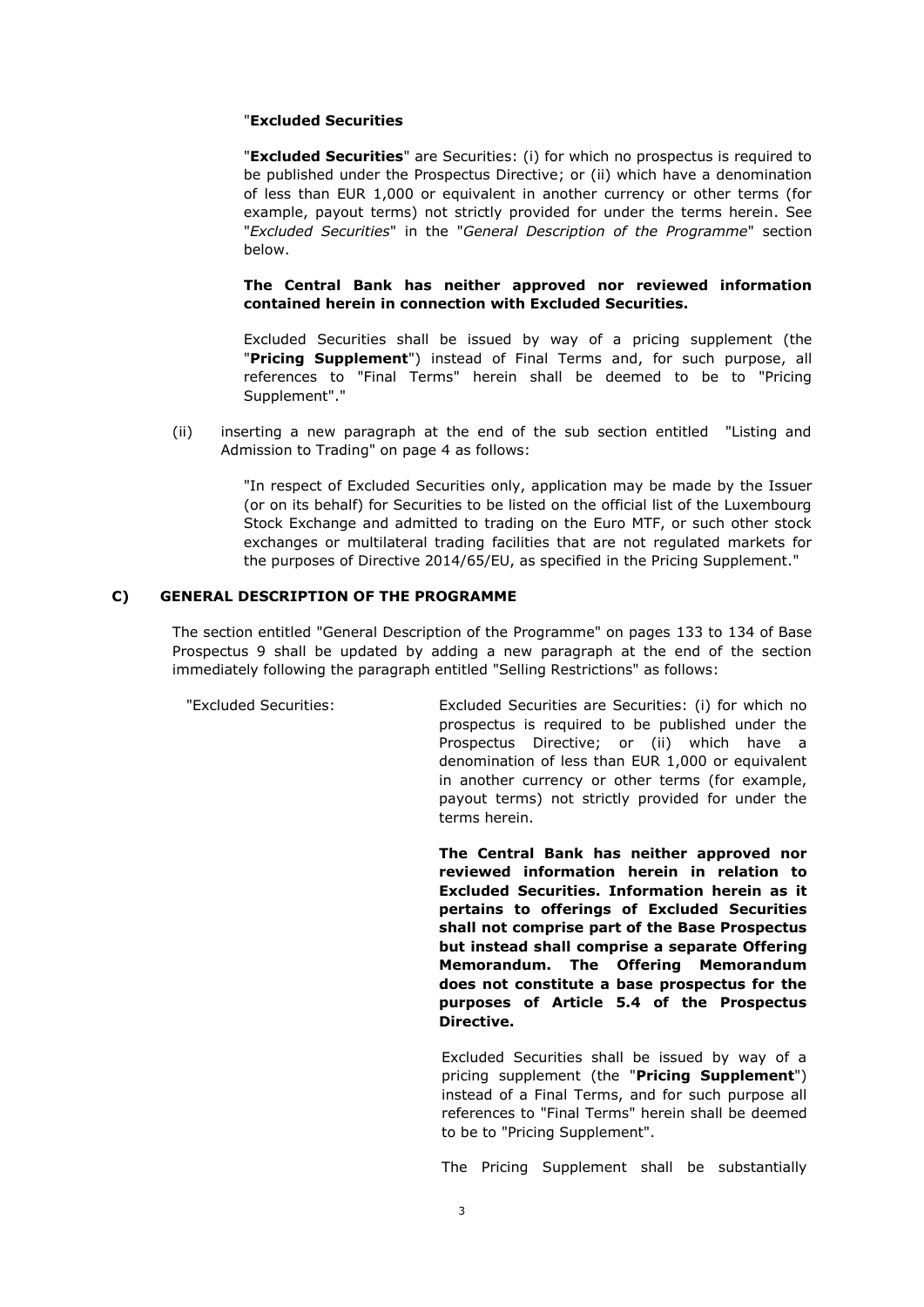## "**Excluded Securities**

"**Excluded Securities**" are Securities: (i) for which no prospectus is required to be published under the Prospectus Directive; or (ii) which have a denomination of less than EUR 1,000 or equivalent in another currency or other terms (for example, payout terms) not strictly provided for under the terms herein. See "*Excluded Securities*" in the "*General Description of the Programme*" section below.

**The Central Bank has neither approved nor reviewed information contained herein in connection with Excluded Securities.**

Excluded Securities shall be issued by way of a pricing supplement (the "**Pricing Supplement**") instead of Final Terms and, for such purpose, all references to "Final Terms" herein shall be deemed to be to "Pricing Supplement"."

(ii) inserting a new paragraph at the end of the sub section entitled "Listing and Admission to Trading" on page 4 as follows:

> "In respect of Excluded Securities only, application may be made by the Issuer (or on its behalf) for Securities to be listed on the official list of the Luxembourg Stock Exchange and admitted to trading on the Euro MTF, or such other stock exchanges or multilateral trading facilities that are not regulated markets for the purposes of Directive 2014/65/EU, as specified in the Pricing Supplement."

## **C) GENERAL DESCRIPTION OF THE PROGRAMME**

The section entitled "General Description of the Programme" on pages 133 to 134 of Base Prospectus 9 shall be updated by adding a new paragraph at the end of the section immediately following the paragraph entitled "Selling Restrictions" as follows:

"Excluded Securities: Excluded Securities are Securities: (i) for which no prospectus is required to be published under the Prospectus Directive; or (ii) which have a denomination of less than EUR 1,000 or equivalent in another currency or other terms (for example, payout terms) not strictly provided for under the terms herein.

> **The Central Bank has neither approved nor reviewed information herein in relation to Excluded Securities. Information herein as it pertains to offerings of Excluded Securities shall not comprise part of the Base Prospectus but instead shall comprise a separate Offering Memorandum. The Offering Memorandum does not constitute a base prospectus for the purposes of Article 5.4 of the Prospectus Directive.**

> Excluded Securities shall be issued by way of a pricing supplement (the "**Pricing Supplement**") instead of a Final Terms, and for such purpose all references to "Final Terms" herein shall be deemed to be to "Pricing Supplement".

> The Pricing Supplement shall be substantially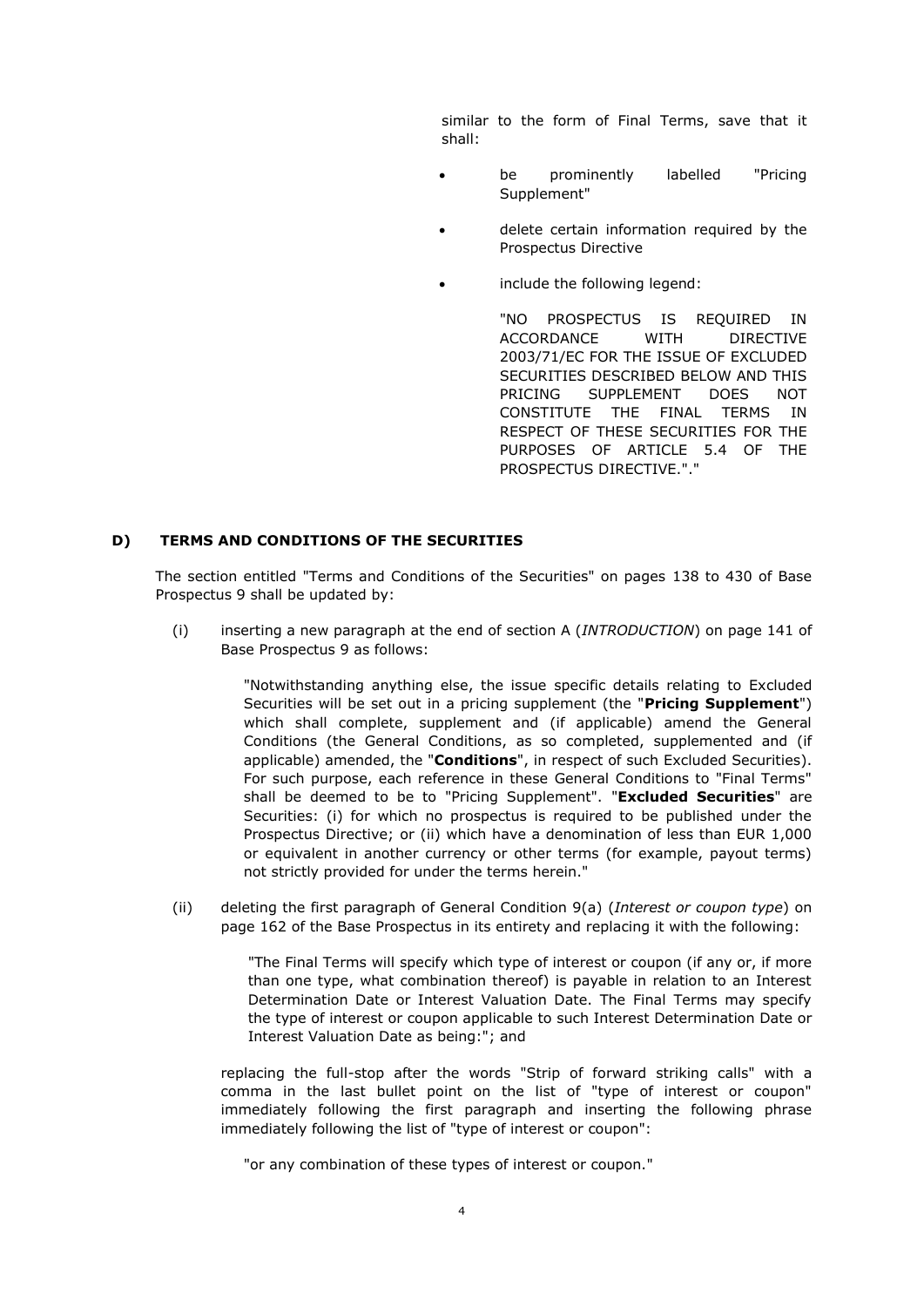similar to the form of Final Terms, save that it shall:

- be prominently labelled "Pricing Supplement"
- delete certain information required by the Prospectus Directive
- include the following legend:

"NO PROSPECTUS IS REQUIRED IN ACCORDANCE WITH DIRECTIVE 2003/71/EC FOR THE ISSUE OF EXCLUDED SECURITIES DESCRIBED BELOW AND THIS PRICING SUPPLEMENT DOES NOT CONSTITUTE THE FINAL TERMS IN RESPECT OF THESE SECURITIES FOR THE PURPOSES OF ARTICLE 5.4 OF THE PROSPECTUS DIRECTIVE."."

# **D) TERMS AND CONDITIONS OF THE SECURITIES**

The section entitled "Terms and Conditions of the Securities" on pages 138 to 430 of Base Prospectus 9 shall be updated by:

(i) inserting a new paragraph at the end of section A (*INTRODUCTION*) on page 141 of Base Prospectus 9 as follows:

> "Notwithstanding anything else, the issue specific details relating to Excluded Securities will be set out in a pricing supplement (the "**Pricing Supplement**") which shall complete, supplement and (if applicable) amend the General Conditions (the General Conditions, as so completed, supplemented and (if applicable) amended, the "**Conditions**", in respect of such Excluded Securities). For such purpose, each reference in these General Conditions to "Final Terms" shall be deemed to be to "Pricing Supplement". "**Excluded Securities**" are Securities: (i) for which no prospectus is required to be published under the Prospectus Directive; or (ii) which have a denomination of less than EUR 1,000 or equivalent in another currency or other terms (for example, payout terms) not strictly provided for under the terms herein."

(ii) deleting the first paragraph of General Condition 9(a) (*Interest or coupon type*) on page 162 of the Base Prospectus in its entirety and replacing it with the following:

> "The Final Terms will specify which type of interest or coupon (if any or, if more than one type, what combination thereof) is payable in relation to an Interest Determination Date or Interest Valuation Date. The Final Terms may specify the type of interest or coupon applicable to such Interest Determination Date or Interest Valuation Date as being:"; and

replacing the full-stop after the words "Strip of forward striking calls" with a comma in the last bullet point on the list of "type of interest or coupon" immediately following the first paragraph and inserting the following phrase immediately following the list of "type of interest or coupon":

"or any combination of these types of interest or coupon."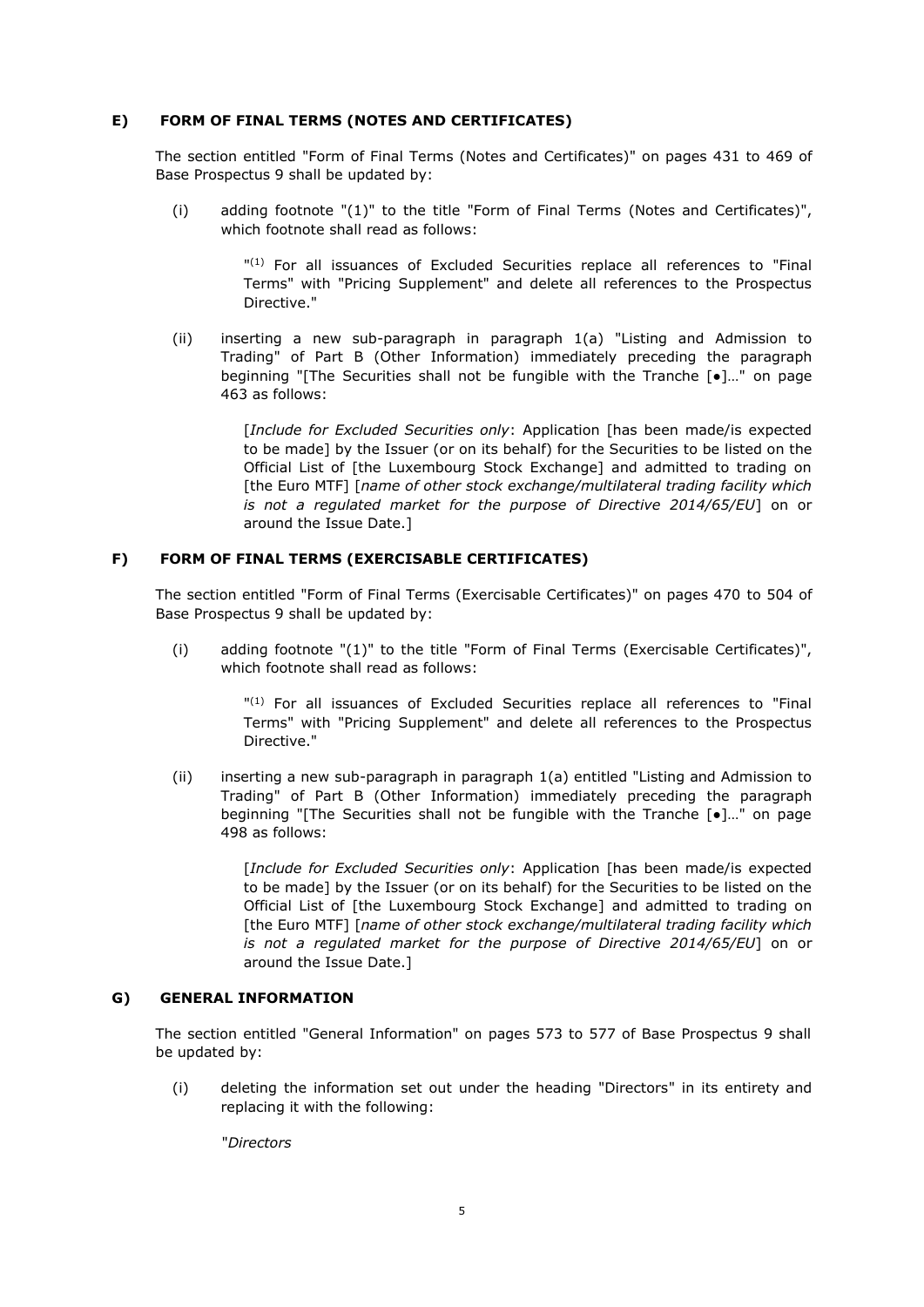## **E) FORM OF FINAL TERMS (NOTES AND CERTIFICATES)**

The section entitled "Form of Final Terms (Notes and Certificates)" on pages 431 to 469 of Base Prospectus 9 shall be updated by:

(i) adding footnote "(1)" to the title "Form of Final Terms (Notes and Certificates)", which footnote shall read as follows:

> " (1) For all issuances of Excluded Securities replace all references to "Final Terms" with "Pricing Supplement" and delete all references to the Prospectus Directive."

(ii) inserting a new sub-paragraph in paragraph 1(a) "Listing and Admission to Trading" of Part B (Other Information) immediately preceding the paragraph beginning "[The Securities shall not be fungible with the Tranche [●]…" on page 463 as follows:

> [*Include for Excluded Securities only*: Application [has been made/is expected to be made] by the Issuer (or on its behalf) for the Securities to be listed on the Official List of [the Luxembourg Stock Exchange] and admitted to trading on [the Euro MTF] [*name of other stock exchange/multilateral trading facility which is not a regulated market for the purpose of Directive 2014/65/EU*] on or around the Issue Date.]

## **F) FORM OF FINAL TERMS (EXERCISABLE CERTIFICATES)**

The section entitled "Form of Final Terms (Exercisable Certificates)" on pages 470 to 504 of Base Prospectus 9 shall be updated by:

(i) adding footnote "(1)" to the title "Form of Final Terms (Exercisable Certificates)", which footnote shall read as follows:

> " (1) For all issuances of Excluded Securities replace all references to "Final Terms" with "Pricing Supplement" and delete all references to the Prospectus Directive."

(ii) inserting a new sub-paragraph in paragraph 1(a) entitled "Listing and Admission to Trading" of Part B (Other Information) immediately preceding the paragraph beginning "[The Securities shall not be fungible with the Tranche [●]…" on page 498 as follows:

> [*Include for Excluded Securities only*: Application [has been made/is expected to be made] by the Issuer (or on its behalf) for the Securities to be listed on the Official List of [the Luxembourg Stock Exchange] and admitted to trading on [the Euro MTF] [*name of other stock exchange/multilateral trading facility which is not a regulated market for the purpose of Directive 2014/65/EU*] on or around the Issue Date.]

# **G) GENERAL INFORMATION**

The section entitled "General Information" on pages 573 to 577 of Base Prospectus 9 shall be updated by:

(i) deleting the information set out under the heading "Directors" in its entirety and replacing it with the following:

"*Directors*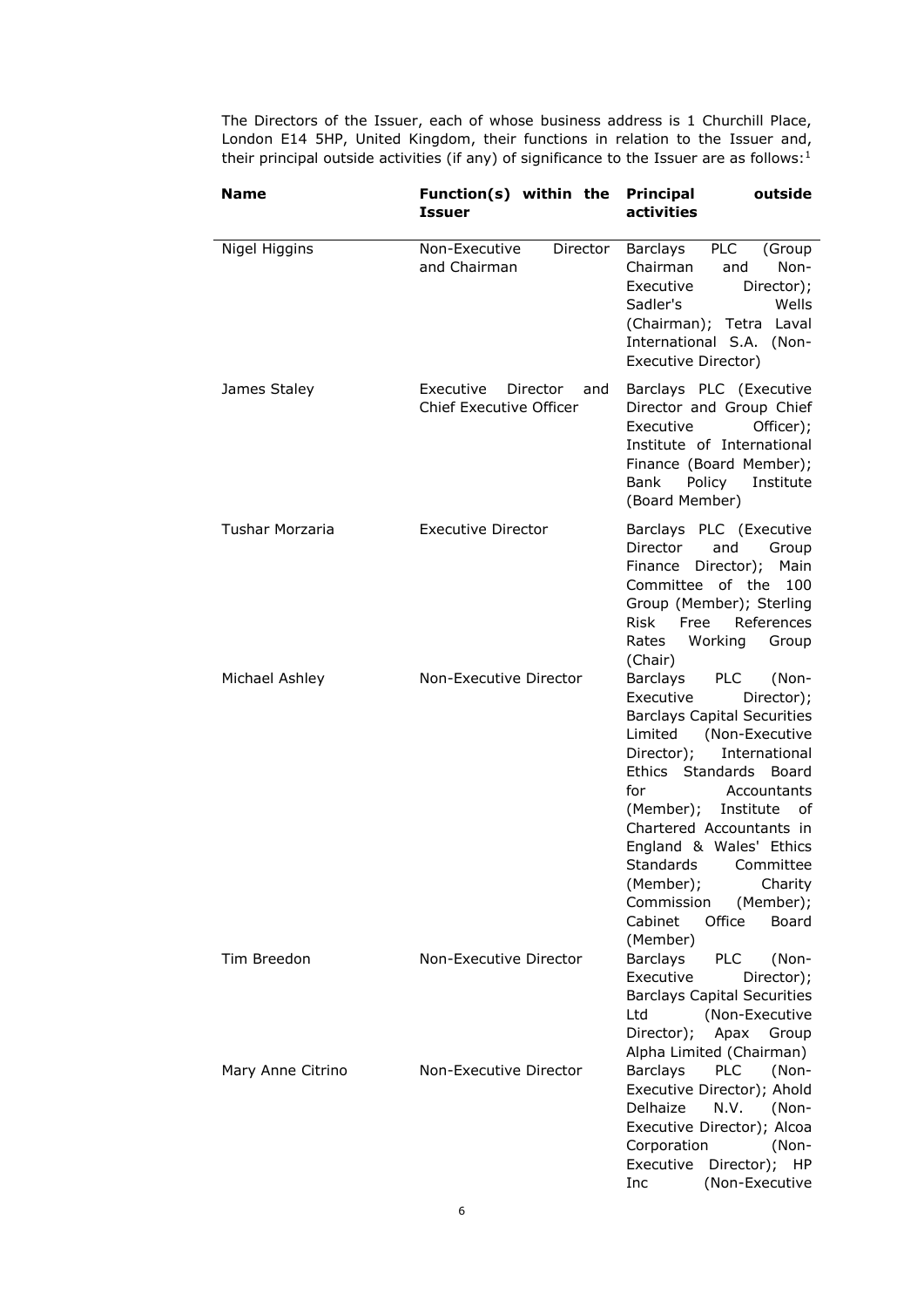The Directors of the Issuer, each of whose business address is 1 Churchill Place, London E14 5HP, United Kingdom, their functions in relation to the Issuer and, their principal outside activities (if any) of significance to the Issuer are as follows:<sup>1</sup>

| Name              | Function(s) within the<br><b>Issuer</b>                        | outside<br><b>Principal</b><br>activities                                                                                                                                                                                                                                                                                                                                                                      |
|-------------------|----------------------------------------------------------------|----------------------------------------------------------------------------------------------------------------------------------------------------------------------------------------------------------------------------------------------------------------------------------------------------------------------------------------------------------------------------------------------------------------|
| Nigel Higgins     | Non-Executive<br>Director<br>and Chairman                      | <b>PLC</b><br>Barclays<br>(Group<br>Chairman<br>Non-<br>and<br>Executive<br>Director);<br>Sadler's<br>Wells<br>(Chairman); Tetra Laval<br>International S.A. (Non-<br>Executive Director)                                                                                                                                                                                                                      |
| James Staley      | Executive<br>Director<br>and<br><b>Chief Executive Officer</b> | Barclays PLC (Executive<br>Director and Group Chief<br>Executive<br>Officer);<br>Institute of International<br>Finance (Board Member);<br>Bank<br>Policy<br>Institute<br>(Board Member)                                                                                                                                                                                                                        |
| Tushar Morzaria   | <b>Executive Director</b>                                      | Barclays PLC (Executive<br>Director<br>and<br>Group<br>Finance Director);<br>Main<br>Committee of the 100<br>Group (Member); Sterling<br>Risk Free<br>References<br>Working<br>Rates<br>Group<br>(Chair)                                                                                                                                                                                                       |
| Michael Ashley    | Non-Executive Director                                         | Barclays<br>PLC (Non-<br>Executive<br>Director);<br><b>Barclays Capital Securities</b><br>Limited (Non-Executive<br>Director);<br>International<br>Ethics Standards Board<br>for<br>Accountants<br>(Member); Institute of<br>Chartered Accountants in<br>England & Wales' Ethics<br><b>Standards</b><br>Committee<br>(Member);<br>Charity<br>Commission<br>(Member);<br>Office<br>Cabinet<br>Board<br>(Member) |
| Tim Breedon       | Non-Executive Director                                         | <b>Barclays</b><br><b>PLC</b><br>(Non-<br>Executive<br>Director);<br><b>Barclays Capital Securities</b><br>(Non-Executive<br>Ltd<br>Director);<br>Apax<br>Group<br>Alpha Limited (Chairman)                                                                                                                                                                                                                    |
| Mary Anne Citrino | Non-Executive Director                                         | <b>PLC</b><br><b>Barclays</b><br>(Non-<br>Executive Director); Ahold<br>Delhaize<br>N.V.<br>(Non-<br>Executive Director); Alcoa<br>Corporation<br>(Non-<br>Executive<br>Director);<br>HP<br>(Non-Executive<br>Inc                                                                                                                                                                                              |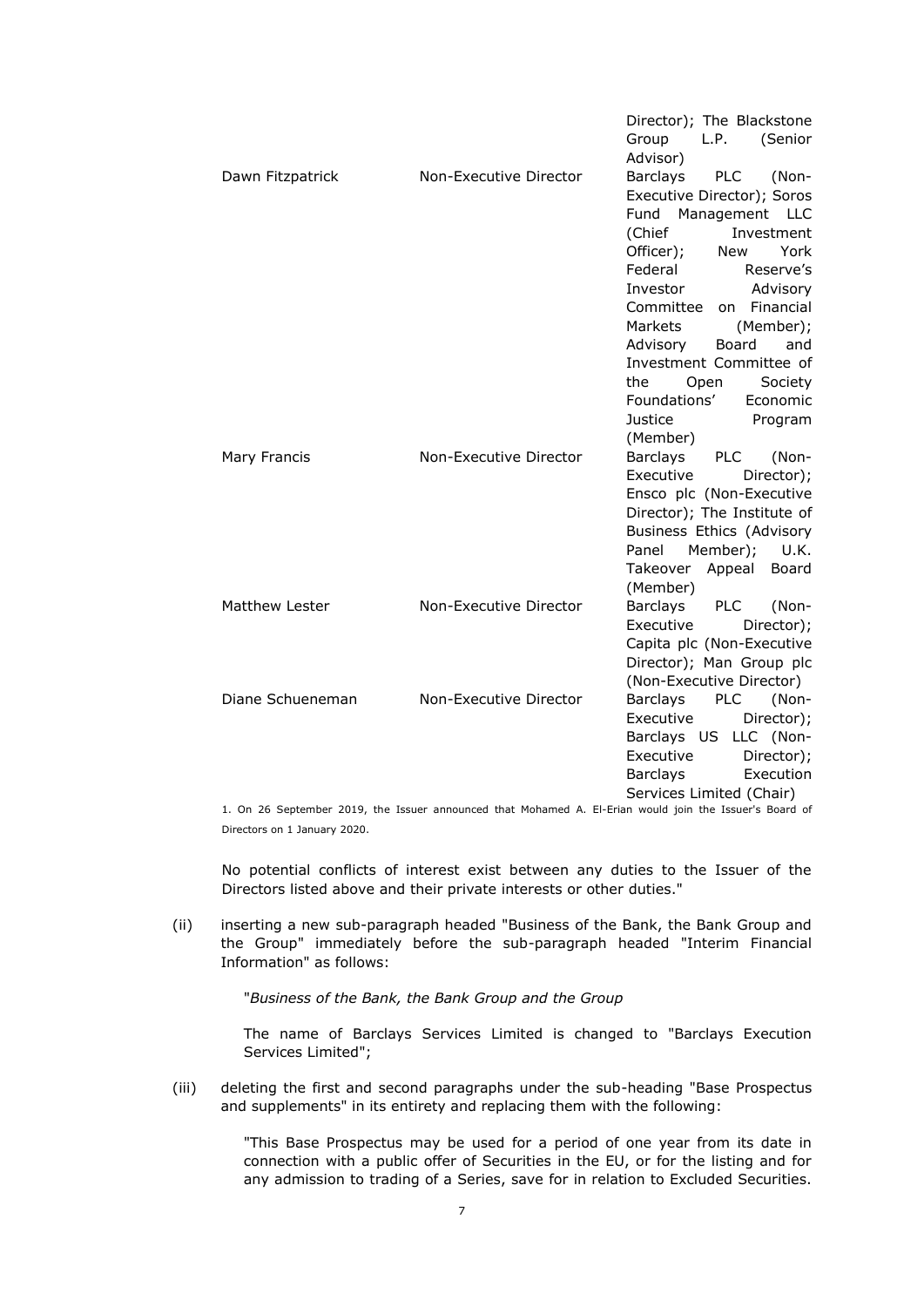|                       |                        | Director); The Blackstone              |
|-----------------------|------------------------|----------------------------------------|
|                       |                        | L.P.<br>(Senior<br>Group               |
|                       |                        | Advisor)                               |
| Dawn Fitzpatrick      | Non-Executive Director | <b>Barclays</b><br><b>PLC</b><br>(Non- |
|                       |                        | Executive Director); Soros             |
|                       |                        | Management LLC<br>Fund                 |
|                       |                        | (Chief<br>Investment                   |
|                       |                        | York<br>Officer);<br>New               |
|                       |                        | Federal<br>Reserve's                   |
|                       |                        | Investor<br>Advisory                   |
|                       |                        | Committee<br>on Financial              |
|                       |                        | Markets<br>(Member);                   |
|                       |                        | Advisory<br>Board<br>and               |
|                       |                        | Investment Committee of                |
|                       |                        | Society<br>the<br>Open                 |
|                       |                        | Foundations'<br>Economic               |
|                       |                        | <b>Justice</b><br>Program              |
|                       |                        | (Member)                               |
| Mary Francis          | Non-Executive Director | Barclays<br><b>PLC</b><br>(Non-        |
|                       |                        | Executive<br>Director);                |
|                       |                        | Ensco plc (Non-Executive               |
|                       |                        | Director); The Institute of            |
|                       |                        | Business Ethics (Advisory              |
|                       |                        | Member);<br>U.K.<br>Panel              |
|                       |                        | Takeover Appeal<br>Board               |
|                       |                        | (Member)                               |
| <b>Matthew Lester</b> | Non-Executive Director | Barclays<br><b>PLC</b><br>(Non-        |
|                       |                        | Executive<br>Director);                |
|                       |                        | Capita plc (Non-Executive              |
|                       |                        | Director); Man Group plc               |
|                       |                        | (Non-Executive Director)               |
| Diane Schueneman      | Non-Executive Director | <b>PLC</b><br>Barclays<br>(Non-        |
|                       |                        | Director);<br>Executive                |
|                       |                        | Barclays US LLC (Non-                  |
|                       |                        | Executive<br>Director);                |
|                       |                        | Barclays<br>Execution                  |
|                       |                        | Services Limited (Chair)               |

1. On 26 September 2019, the Issuer announced that Mohamed A. El-Erian would join the Issuer's Board of Directors on 1 January 2020.

No potential conflicts of interest exist between any duties to the Issuer of the Directors listed above and their private interests or other duties."

(ii) inserting a new sub-paragraph headed "Business of the Bank, the Bank Group and the Group" immediately before the sub-paragraph headed "Interim Financial Information" as follows:

"*Business of the Bank, the Bank Group and the Group*

The name of Barclays Services Limited is changed to "Barclays Execution Services Limited";

(iii) deleting the first and second paragraphs under the sub-heading "Base Prospectus and supplements" in its entirety and replacing them with the following:

> "This Base Prospectus may be used for a period of one year from its date in connection with a public offer of Securities in the EU, or for the listing and for any admission to trading of a Series, save for in relation to Excluded Securities.